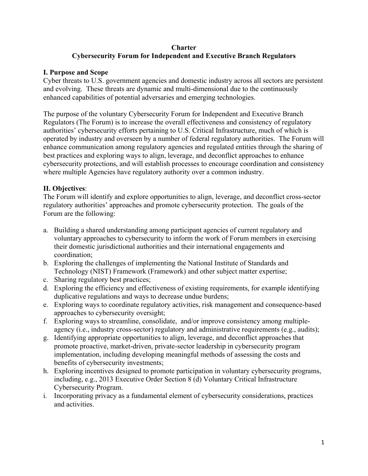### **Charter Cybersecurity Forum for Independent and Executive Branch Regulators**

## **I. Purpose and Scope**

Cyber threats to U.S. government agencies and domestic industry across all sectors are persistent and evolving. These threats are dynamic and multi-dimensional due to the continuously enhanced capabilities of potential adversaries and emerging technologies.

The purpose of the voluntary Cybersecurity Forum for Independent and Executive Branch Regulators (The Forum) is to increase the overall effectiveness and consistency of regulatory authorities' cybersecurity efforts pertaining to U.S. Critical Infrastructure, much of which is operated by industry and overseen by a number of federal regulatory authorities. The Forum will enhance communication among regulatory agencies and regulated entities through the sharing of best practices and exploring ways to align, leverage, and deconflict approaches to enhance cybersecurity protections, and will establish processes to encourage coordination and consistency where multiple Agencies have regulatory authority over a common industry.

# **II. Objectives**:

The Forum will identify and explore opportunities to align, leverage, and deconflict cross-sector regulatory authorities' approaches and promote cybersecurity protection. The goals of the Forum are the following:

- a. Building a shared understanding among participant agencies of current regulatory and voluntary approaches to cybersecurity to inform the work of Forum members in exercising their domestic jurisdictional authorities and their international engagements and coordination;
- b. Exploring the challenges of implementing the National Institute of Standards and Technology (NIST) Framework (Framework) and other subject matter expertise;
- c. Sharing regulatory best practices;
- d. Exploring the efficiency and effectiveness of existing requirements, for example identifying duplicative regulations and ways to decrease undue burdens;
- e. Exploring ways to coordinate regulatory activities, risk management and consequence-based approaches to cybersecurity oversight;
- f. Exploring ways to streamline, consolidate, and/or improve consistency among multipleagency (i.e., industry cross-sector) regulatory and administrative requirements (e.g., audits);
- g. Identifying appropriate opportunities to align, leverage, and deconflict approaches that promote proactive, market-driven, private-sector leadership in cybersecurity program implementation, including developing meaningful methods of assessing the costs and benefits of cybersecurity investments;
- h. Exploring incentives designed to promote participation in voluntary cybersecurity programs, including, e.g., 2013 Executive Order Section 8 (d) Voluntary Critical Infrastructure Cybersecurity Program.
- i. Incorporating privacy as a fundamental element of cybersecurity considerations, practices and activities.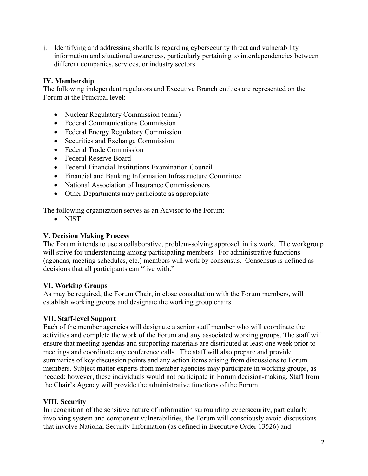j. Identifying and addressing shortfalls regarding cybersecurity threat and vulnerability information and situational awareness, particularly pertaining to interdependencies between different companies, services, or industry sectors.

# **IV. Membership**

The following independent regulators and Executive Branch entities are represented on the Forum at the Principal level:

- Nuclear Regulatory Commission (chair)
- Federal Communications Commission
- Federal Energy Regulatory Commission
- Securities and Exchange Commission
- Federal Trade Commission
- Federal Reserve Board
- Federal Financial Institutions Examination Council
- Financial and Banking Information Infrastructure Committee
- National Association of Insurance Commissioners
- Other Departments may participate as appropriate

The following organization serves as an Advisor to the Forum:

• NIST

### **V. Decision Making Process**

The Forum intends to use a collaborative, problem-solving approach in its work. The workgroup will strive for understanding among participating members. For administrative functions (agendas, meeting schedules, etc.) members will work by consensus. Consensus is defined as decisions that all participants can "live with."

### **VI. Working Groups**

As may be required, the Forum Chair, in close consultation with the Forum members, will establish working groups and designate the working group chairs.

### **VII. Staff-level Support**

Each of the member agencies will designate a senior staff member who will coordinate the activities and complete the work of the Forum and any associated working groups. The staff will ensure that meeting agendas and supporting materials are distributed at least one week prior to meetings and coordinate any conference calls. The staff will also prepare and provide summaries of key discussion points and any action items arising from discussions to Forum members. Subject matter experts from member agencies may participate in working groups, as needed; however, these individuals would not participate in Forum decision-making. Staff from the Chair's Agency will provide the administrative functions of the Forum.

### **VIII. Security**

In recognition of the sensitive nature of information surrounding cybersecurity, particularly involving system and component vulnerabilities, the Forum will consciously avoid discussions that involve National Security Information (as defined in Executive Order 13526) and